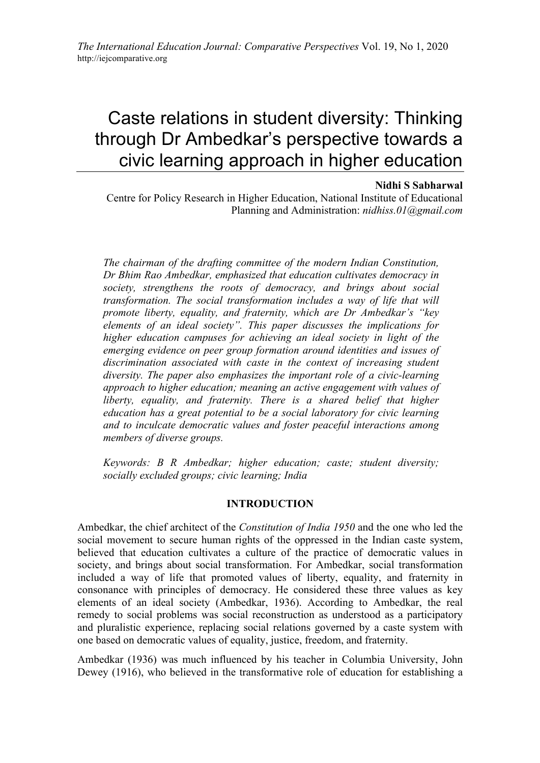# Caste relations in student diversity: Thinking through Dr Ambedkar's perspective towards a civic learning approach in higher education

## **Nidhi S Sabharwal**

Centre for Policy Research in Higher Education, National Institute of Educational Planning and Administration: *nidhiss.01@gmail.com*

*The chairman of the drafting committee of the modern Indian Constitution, Dr Bhim Rao Ambedkar, emphasized that education cultivates democracy in society, strengthens the roots of democracy, and brings about social transformation. The social transformation includes a way of life that will promote liberty, equality, and fraternity, which are Dr Ambedkar's "key elements of an ideal society". This paper discusses the implications for higher education campuses for achieving an ideal society in light of the emerging evidence on peer group formation around identities and issues of discrimination associated with caste in the context of increasing student diversity. The paper also emphasizes the important role of a civic-learning approach to higher education; meaning an active engagement with values of liberty, equality, and fraternity. There is a shared belief that higher education has a great potential to be a social laboratory for civic learning and to inculcate democratic values and foster peaceful interactions among members of diverse groups.*

*Keywords: B R Ambedkar; higher education; caste; student diversity; socially excluded groups; civic learning; India*

### **INTRODUCTION**

Ambedkar, the chief architect of the *Constitution of India 1950* and the one who led the social movement to secure human rights of the oppressed in the Indian caste system, believed that education cultivates a culture of the practice of democratic values in society, and brings about social transformation. For Ambedkar, social transformation included a way of life that promoted values of liberty, equality, and fraternity in consonance with principles of democracy. He considered these three values as key elements of an ideal society (Ambedkar, 1936). According to Ambedkar, the real remedy to social problems was social reconstruction as understood as a participatory and pluralistic experience, replacing social relations governed by a caste system with one based on democratic values of equality, justice, freedom, and fraternity.

Ambedkar (1936) was much influenced by his teacher in Columbia University, John Dewey (1916), who believed in the transformative role of education for establishing a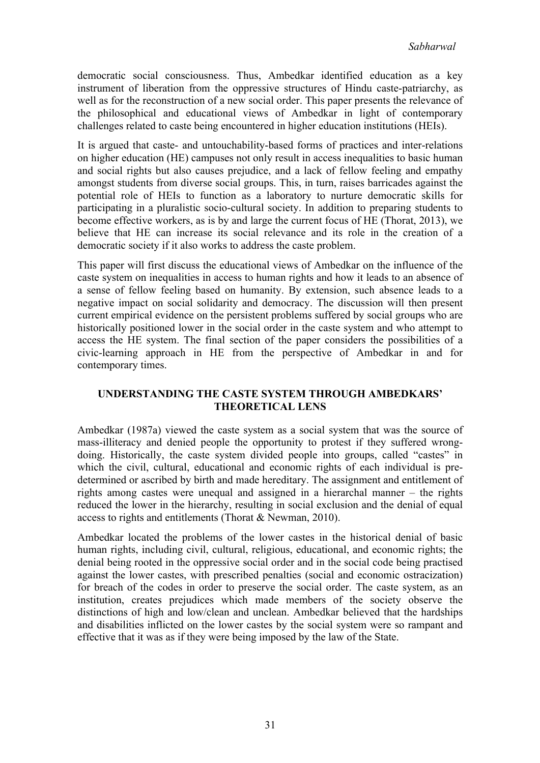democratic social consciousness. Thus, Ambedkar identified education as a key instrument of liberation from the oppressive structures of Hindu caste-patriarchy, as well as for the reconstruction of a new social order. This paper presents the relevance of the philosophical and educational views of Ambedkar in light of contemporary challenges related to caste being encountered in higher education institutions (HEIs).

It is argued that caste- and untouchability-based forms of practices and inter-relations on higher education (HE) campuses not only result in access inequalities to basic human and social rights but also causes prejudice, and a lack of fellow feeling and empathy amongst students from diverse social groups. This, in turn, raises barricades against the potential role of HEIs to function as a laboratory to nurture democratic skills for participating in a pluralistic socio-cultural society. In addition to preparing students to become effective workers, as is by and large the current focus of HE (Thorat, 2013), we believe that HE can increase its social relevance and its role in the creation of a democratic society if it also works to address the caste problem.

This paper will first discuss the educational views of Ambedkar on the influence of the caste system on inequalities in access to human rights and how it leads to an absence of a sense of fellow feeling based on humanity. By extension, such absence leads to a negative impact on social solidarity and democracy. The discussion will then present current empirical evidence on the persistent problems suffered by social groups who are historically positioned lower in the social order in the caste system and who attempt to access the HE system. The final section of the paper considers the possibilities of a civic-learning approach in HE from the perspective of Ambedkar in and for contemporary times.

# **UNDERSTANDING THE CASTE SYSTEM THROUGH AMBEDKARS' THEORETICAL LENS**

Ambedkar (1987a) viewed the caste system as a social system that was the source of mass-illiteracy and denied people the opportunity to protest if they suffered wrongdoing. Historically, the caste system divided people into groups, called "castes" in which the civil, cultural, educational and economic rights of each individual is predetermined or ascribed by birth and made hereditary. The assignment and entitlement of rights among castes were unequal and assigned in a hierarchal manner – the rights reduced the lower in the hierarchy, resulting in social exclusion and the denial of equal access to rights and entitlements (Thorat & Newman, 2010).

Ambedkar located the problems of the lower castes in the historical denial of basic human rights, including civil, cultural, religious, educational, and economic rights; the denial being rooted in the oppressive social order and in the social code being practised against the lower castes, with prescribed penalties (social and economic ostracization) for breach of the codes in order to preserve the social order. The caste system, as an institution, creates prejudices which made members of the society observe the distinctions of high and low/clean and unclean. Ambedkar believed that the hardships and disabilities inflicted on the lower castes by the social system were so rampant and effective that it was as if they were being imposed by the law of the State.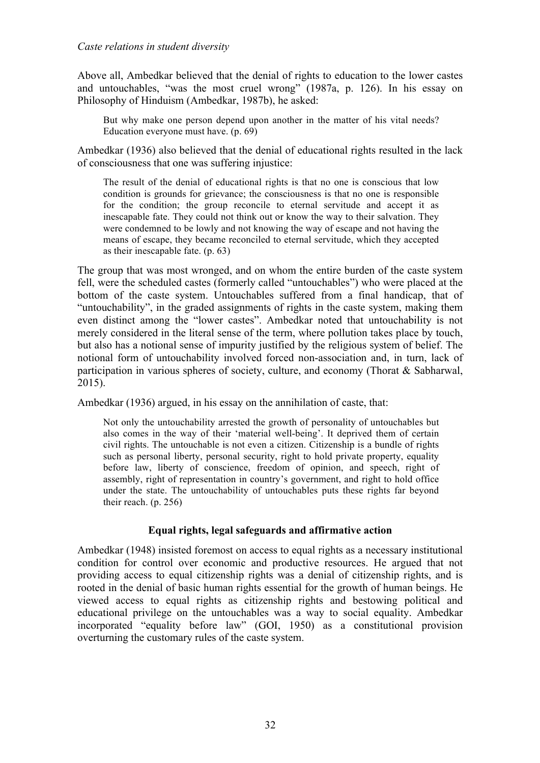### *Caste relations in student diversity*

Above all, Ambedkar believed that the denial of rights to education to the lower castes and untouchables, "was the most cruel wrong" (1987a, p. 126). In his essay on Philosophy of Hinduism (Ambedkar, 1987b), he asked:

But why make one person depend upon another in the matter of his vital needs? Education everyone must have. (p. 69)

Ambedkar (1936) also believed that the denial of educational rights resulted in the lack of consciousness that one was suffering injustice:

The result of the denial of educational rights is that no one is conscious that low condition is grounds for grievance; the consciousness is that no one is responsible for the condition; the group reconcile to eternal servitude and accept it as inescapable fate. They could not think out or know the way to their salvation. They were condemned to be lowly and not knowing the way of escape and not having the means of escape, they became reconciled to eternal servitude, which they accepted as their inescapable fate. (p. 63)

The group that was most wronged, and on whom the entire burden of the caste system fell, were the scheduled castes (formerly called "untouchables") who were placed at the bottom of the caste system. Untouchables suffered from a final handicap, that of "untouchability", in the graded assignments of rights in the caste system, making them even distinct among the "lower castes". Ambedkar noted that untouchability is not merely considered in the literal sense of the term, where pollution takes place by touch, but also has a notional sense of impurity justified by the religious system of belief. The notional form of untouchability involved forced non-association and, in turn, lack of participation in various spheres of society, culture, and economy (Thorat & Sabharwal, 2015).

Ambedkar (1936) argued, in his essay on the annihilation of caste, that:

Not only the untouchability arrested the growth of personality of untouchables but also comes in the way of their 'material well-being'. It deprived them of certain civil rights. The untouchable is not even a citizen. Citizenship is a bundle of rights such as personal liberty, personal security, right to hold private property, equality before law, liberty of conscience, freedom of opinion, and speech, right of assembly, right of representation in country's government, and right to hold office under the state. The untouchability of untouchables puts these rights far beyond their reach. (p. 256)

# **Equal rights, legal safeguards and affirmative action**

Ambedkar (1948) insisted foremost on access to equal rights as a necessary institutional condition for control over economic and productive resources. He argued that not providing access to equal citizenship rights was a denial of citizenship rights, and is rooted in the denial of basic human rights essential for the growth of human beings. He viewed access to equal rights as citizenship rights and bestowing political and educational privilege on the untouchables was a way to social equality. Ambedkar incorporated "equality before law" (GOI, 1950) as a constitutional provision overturning the customary rules of the caste system.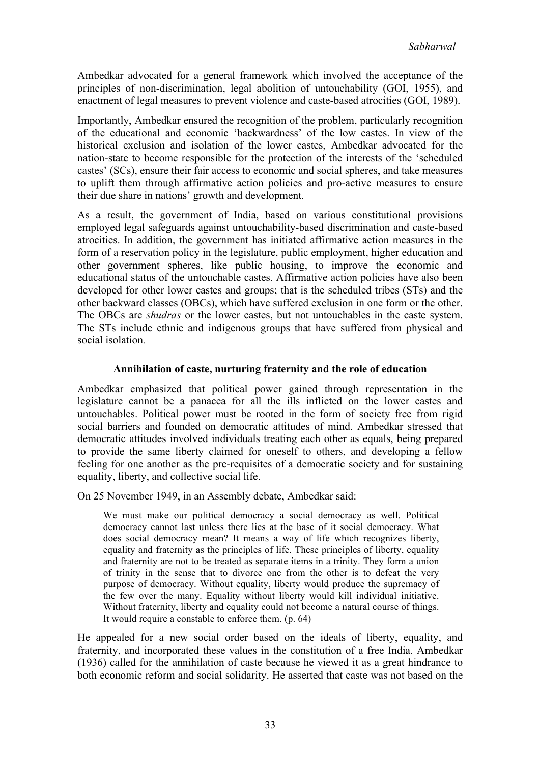Ambedkar advocated for a general framework which involved the acceptance of the principles of non-discrimination, legal abolition of untouchability (GOI, 1955), and enactment of legal measures to prevent violence and caste-based atrocities (GOI, 1989).

Importantly, Ambedkar ensured the recognition of the problem, particularly recognition of the educational and economic 'backwardness' of the low castes. In view of the historical exclusion and isolation of the lower castes, Ambedkar advocated for the nation-state to become responsible for the protection of the interests of the 'scheduled castes' (SCs), ensure their fair access to economic and social spheres, and take measures to uplift them through affirmative action policies and pro-active measures to ensure their due share in nations' growth and development.

As a result, the government of India, based on various constitutional provisions employed legal safeguards against untouchability-based discrimination and caste-based atrocities. In addition, the government has initiated affirmative action measures in the form of a reservation policy in the legislature, public employment, higher education and other government spheres, like public housing, to improve the economic and educational status of the untouchable castes. Affirmative action policies have also been developed for other lower castes and groups; that is the scheduled tribes (STs) and the other backward classes (OBCs), which have suffered exclusion in one form or the other. The OBCs are *shudras* or the lower castes, but not untouchables in the caste system. The STs include ethnic and indigenous groups that have suffered from physical and social isolation.

# **Annihilation of caste, nurturing fraternity and the role of education**

Ambedkar emphasized that political power gained through representation in the legislature cannot be a panacea for all the ills inflicted on the lower castes and untouchables. Political power must be rooted in the form of society free from rigid social barriers and founded on democratic attitudes of mind. Ambedkar stressed that democratic attitudes involved individuals treating each other as equals, being prepared to provide the same liberty claimed for oneself to others, and developing a fellow feeling for one another as the pre-requisites of a democratic society and for sustaining equality, liberty, and collective social life.

On 25 November 1949, in an Assembly debate, Ambedkar said:

We must make our political democracy a social democracy as well. Political democracy cannot last unless there lies at the base of it social democracy. What does social democracy mean? It means a way of life which recognizes liberty, equality and fraternity as the principles of life. These principles of liberty, equality and fraternity are not to be treated as separate items in a trinity. They form a union of trinity in the sense that to divorce one from the other is to defeat the very purpose of democracy. Without equality, liberty would produce the supremacy of the few over the many. Equality without liberty would kill individual initiative. Without fraternity, liberty and equality could not become a natural course of things. It would require a constable to enforce them. (p. 64)

He appealed for a new social order based on the ideals of liberty, equality, and fraternity, and incorporated these values in the constitution of a free India. Ambedkar (1936) called for the annihilation of caste because he viewed it as a great hindrance to both economic reform and social solidarity. He asserted that caste was not based on the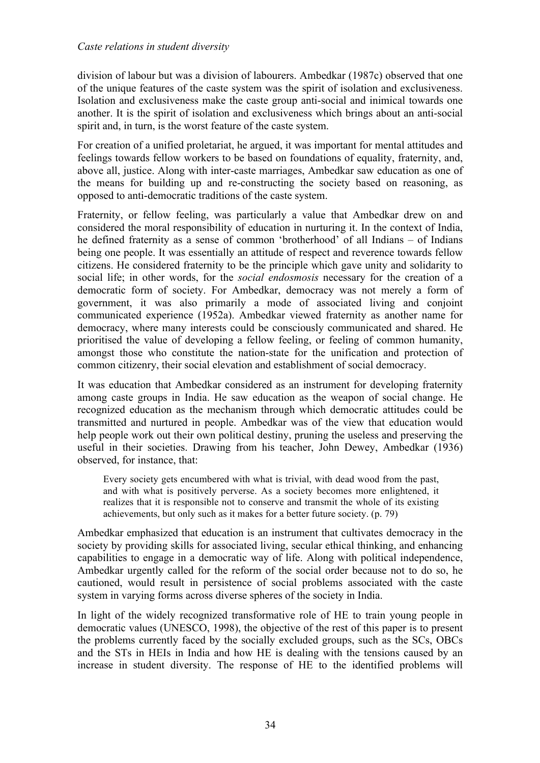## *Caste relations in student diversity*

division of labour but was a division of labourers. Ambedkar (1987c) observed that one of the unique features of the caste system was the spirit of isolation and exclusiveness. Isolation and exclusiveness make the caste group anti-social and inimical towards one another. It is the spirit of isolation and exclusiveness which brings about an anti-social spirit and, in turn, is the worst feature of the caste system.

For creation of a unified proletariat, he argued, it was important for mental attitudes and feelings towards fellow workers to be based on foundations of equality, fraternity, and, above all, justice. Along with inter-caste marriages, Ambedkar saw education as one of the means for building up and re-constructing the society based on reasoning, as opposed to anti-democratic traditions of the caste system.

Fraternity, or fellow feeling, was particularly a value that Ambedkar drew on and considered the moral responsibility of education in nurturing it. In the context of India, he defined fraternity as a sense of common 'brotherhood' of all Indians – of Indians being one people. It was essentially an attitude of respect and reverence towards fellow citizens. He considered fraternity to be the principle which gave unity and solidarity to social life; in other words, for the *social endosmosis* necessary for the creation of a democratic form of society. For Ambedkar, democracy was not merely a form of government, it was also primarily a mode of associated living and conjoint communicated experience (1952a). Ambedkar viewed fraternity as another name for democracy, where many interests could be consciously communicated and shared. He prioritised the value of developing a fellow feeling, or feeling of common humanity, amongst those who constitute the nation-state for the unification and protection of common citizenry, their social elevation and establishment of social democracy.

It was education that Ambedkar considered as an instrument for developing fraternity among caste groups in India. He saw education as the weapon of social change. He recognized education as the mechanism through which democratic attitudes could be transmitted and nurtured in people. Ambedkar was of the view that education would help people work out their own political destiny, pruning the useless and preserving the useful in their societies. Drawing from his teacher, John Dewey, Ambedkar (1936) observed, for instance, that:

Every society gets encumbered with what is trivial, with dead wood from the past, and with what is positively perverse. As a society becomes more enlightened, it realizes that it is responsible not to conserve and transmit the whole of its existing achievements, but only such as it makes for a better future society. (p. 79)

Ambedkar emphasized that education is an instrument that cultivates democracy in the society by providing skills for associated living, secular ethical thinking, and enhancing capabilities to engage in a democratic way of life. Along with political independence, Ambedkar urgently called for the reform of the social order because not to do so, he cautioned, would result in persistence of social problems associated with the caste system in varying forms across diverse spheres of the society in India.

In light of the widely recognized transformative role of HE to train young people in democratic values (UNESCO, 1998), the objective of the rest of this paper is to present the problems currently faced by the socially excluded groups, such as the SCs, OBCs and the STs in HEIs in India and how HE is dealing with the tensions caused by an increase in student diversity. The response of HE to the identified problems will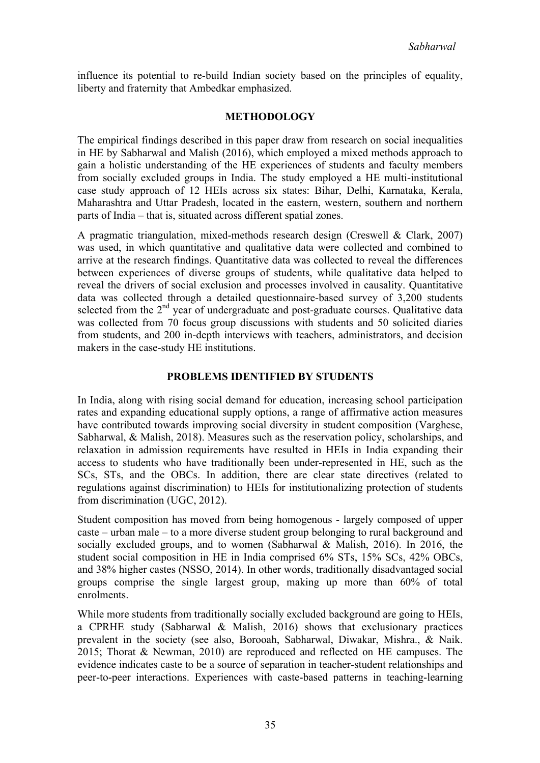influence its potential to re-build Indian society based on the principles of equality, liberty and fraternity that Ambedkar emphasized.

## **METHODOLOGY**

The empirical findings described in this paper draw from research on social inequalities in HE by Sabharwal and Malish (2016), which employed a mixed methods approach to gain a holistic understanding of the HE experiences of students and faculty members from socially excluded groups in India. The study employed a HE multi-institutional case study approach of 12 HEIs across six states: Bihar, Delhi, Karnataka, Kerala, Maharashtra and Uttar Pradesh, located in the eastern, western, southern and northern parts of India – that is, situated across different spatial zones.

A pragmatic triangulation, mixed-methods research design (Creswell & Clark, 2007) was used, in which quantitative and qualitative data were collected and combined to arrive at the research findings. Quantitative data was collected to reveal the differences between experiences of diverse groups of students, while qualitative data helped to reveal the drivers of social exclusion and processes involved in causality. Quantitative data was collected through a detailed questionnaire-based survey of 3,200 students selected from the 2<sup>nd</sup> year of undergraduate and post-graduate courses. Qualitative data was collected from 70 focus group discussions with students and 50 solicited diaries from students, and 200 in-depth interviews with teachers, administrators, and decision makers in the case-study HE institutions.

### **PROBLEMS IDENTIFIED BY STUDENTS**

In India, along with rising social demand for education, increasing school participation rates and expanding educational supply options, a range of affirmative action measures have contributed towards improving social diversity in student composition (Varghese, Sabharwal, & Malish, 2018). Measures such as the reservation policy, scholarships, and relaxation in admission requirements have resulted in HEIs in India expanding their access to students who have traditionally been under-represented in HE, such as the SCs, STs, and the OBCs. In addition, there are clear state directives (related to regulations against discrimination) to HEIs for institutionalizing protection of students from discrimination (UGC, 2012).

Student composition has moved from being homogenous - largely composed of upper caste – urban male – to a more diverse student group belonging to rural background and socially excluded groups, and to women (Sabharwal & Malish, 2016). In 2016, the student social composition in HE in India comprised 6% STs, 15% SCs, 42% OBCs, and 38% higher castes (NSSO, 2014). In other words, traditionally disadvantaged social groups comprise the single largest group, making up more than 60% of total enrolments.

While more students from traditionally socially excluded background are going to HEIs, a CPRHE study (Sabharwal & Malish, 2016) shows that exclusionary practices prevalent in the society (see also, Borooah, Sabharwal, Diwakar, Mishra., & Naik. 2015; Thorat & Newman, 2010) are reproduced and reflected on HE campuses. The evidence indicates caste to be a source of separation in teacher-student relationships and peer-to-peer interactions. Experiences with caste-based patterns in teaching-learning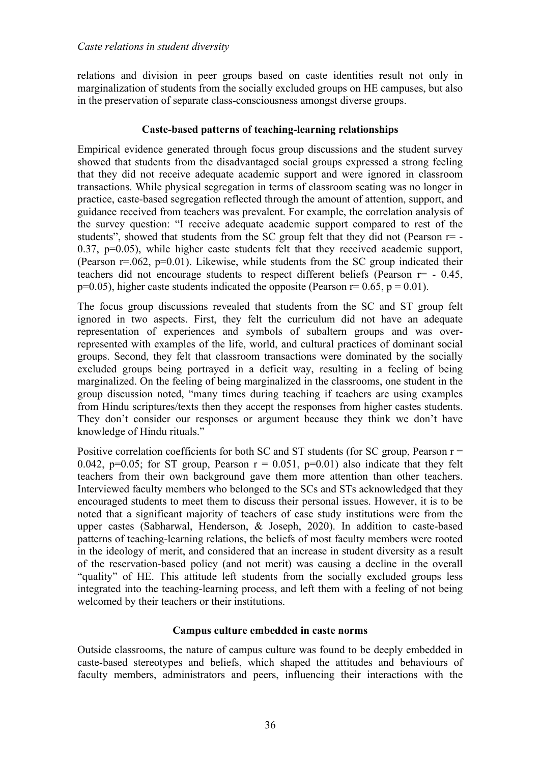relations and division in peer groups based on caste identities result not only in marginalization of students from the socially excluded groups on HE campuses, but also in the preservation of separate class-consciousness amongst diverse groups.

## **Caste-based patterns of teaching-learning relationships**

Empirical evidence generated through focus group discussions and the student survey showed that students from the disadvantaged social groups expressed a strong feeling that they did not receive adequate academic support and were ignored in classroom transactions. While physical segregation in terms of classroom seating was no longer in practice, caste-based segregation reflected through the amount of attention, support, and guidance received from teachers was prevalent. For example, the correlation analysis of the survey question: "I receive adequate academic support compared to rest of the students", showed that students from the SC group felt that they did not (Pearson  $r=$  -0.37, p=0.05), while higher caste students felt that they received academic support, (Pearson r=.062, p=0.01). Likewise, while students from the SC group indicated their teachers did not encourage students to respect different beliefs (Pearson r= - 0.45,  $p=0.05$ ), higher caste students indicated the opposite (Pearson  $r=0.65$ ,  $p=0.01$ ).

The focus group discussions revealed that students from the SC and ST group felt ignored in two aspects. First, they felt the curriculum did not have an adequate representation of experiences and symbols of subaltern groups and was overrepresented with examples of the life, world, and cultural practices of dominant social groups. Second, they felt that classroom transactions were dominated by the socially excluded groups being portrayed in a deficit way, resulting in a feeling of being marginalized. On the feeling of being marginalized in the classrooms, one student in the group discussion noted, "many times during teaching if teachers are using examples from Hindu scriptures/texts then they accept the responses from higher castes students. They don't consider our responses or argument because they think we don't have knowledge of Hindu rituals."

Positive correlation coefficients for both SC and ST students (for SC group, Pearson  $r =$ 0.042, p=0.05; for ST group, Pearson  $r = 0.051$ , p=0.01) also indicate that they felt teachers from their own background gave them more attention than other teachers. Interviewed faculty members who belonged to the SCs and STs acknowledged that they encouraged students to meet them to discuss their personal issues. However, it is to be noted that a significant majority of teachers of case study institutions were from the upper castes (Sabharwal, Henderson, & Joseph, 2020). In addition to caste-based patterns of teaching-learning relations, the beliefs of most faculty members were rooted in the ideology of merit, and considered that an increase in student diversity as a result of the reservation-based policy (and not merit) was causing a decline in the overall "quality" of HE. This attitude left students from the socially excluded groups less integrated into the teaching-learning process, and left them with a feeling of not being welcomed by their teachers or their institutions.

# **Campus culture embedded in caste norms**

Outside classrooms, the nature of campus culture was found to be deeply embedded in caste-based stereotypes and beliefs, which shaped the attitudes and behaviours of faculty members, administrators and peers, influencing their interactions with the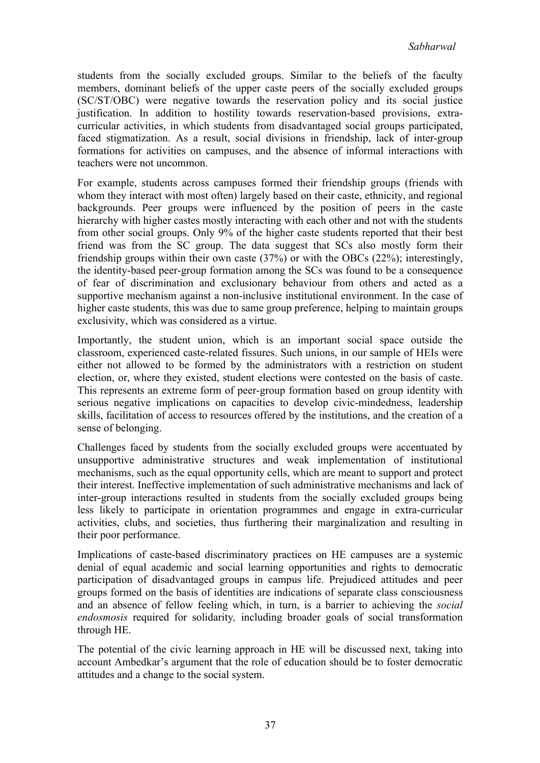students from the socially excluded groups. Similar to the beliefs of the faculty members, dominant beliefs of the upper caste peers of the socially excluded groups (SC/ST/OBC) were negative towards the reservation policy and its social justice justification. In addition to hostility towards reservation-based provisions, extracurricular activities, in which students from disadvantaged social groups participated, faced stigmatization. As a result, social divisions in friendship, lack of inter-group formations for activities on campuses, and the absence of informal interactions with teachers were not uncommon.

For example, students across campuses formed their friendship groups (friends with whom they interact with most often) largely based on their caste, ethnicity, and regional backgrounds. Peer groups were influenced by the position of peers in the caste hierarchy with higher castes mostly interacting with each other and not with the students from other social groups. Only 9% of the higher caste students reported that their best friend was from the SC group. The data suggest that SCs also mostly form their friendship groups within their own caste (37%) or with the OBCs (22%); interestingly, the identity-based peer-group formation among the SCs was found to be a consequence of fear of discrimination and exclusionary behaviour from others and acted as a supportive mechanism against a non-inclusive institutional environment. In the case of higher caste students, this was due to same group preference, helping to maintain groups exclusivity, which was considered as a virtue.

Importantly, the student union, which is an important social space outside the classroom, experienced caste-related fissures. Such unions, in our sample of HEIs were either not allowed to be formed by the administrators with a restriction on student election, or, where they existed, student elections were contested on the basis of caste. This represents an extreme form of peer-group formation based on group identity with serious negative implications on capacities to develop civic-mindedness, leadership skills, facilitation of access to resources offered by the institutions, and the creation of a sense of belonging.

Challenges faced by students from the socially excluded groups were accentuated by unsupportive administrative structures and weak implementation of institutional mechanisms, such as the equal opportunity cells, which are meant to support and protect their interest. Ineffective implementation of such administrative mechanisms and lack of inter-group interactions resulted in students from the socially excluded groups being less likely to participate in orientation programmes and engage in extra-curricular activities, clubs, and societies, thus furthering their marginalization and resulting in their poor performance.

Implications of caste-based discriminatory practices on HE campuses are a systemic denial of equal academic and social learning opportunities and rights to democratic participation of disadvantaged groups in campus life. Prejudiced attitudes and peer groups formed on the basis of identities are indications of separate class consciousness and an absence of fellow feeling which, in turn, is a barrier to achieving the *social endosmosis* required for solidarity*,* including broader goals of social transformation through HE.

The potential of the civic learning approach in HE will be discussed next, taking into account Ambedkar's argument that the role of education should be to foster democratic attitudes and a change to the social system.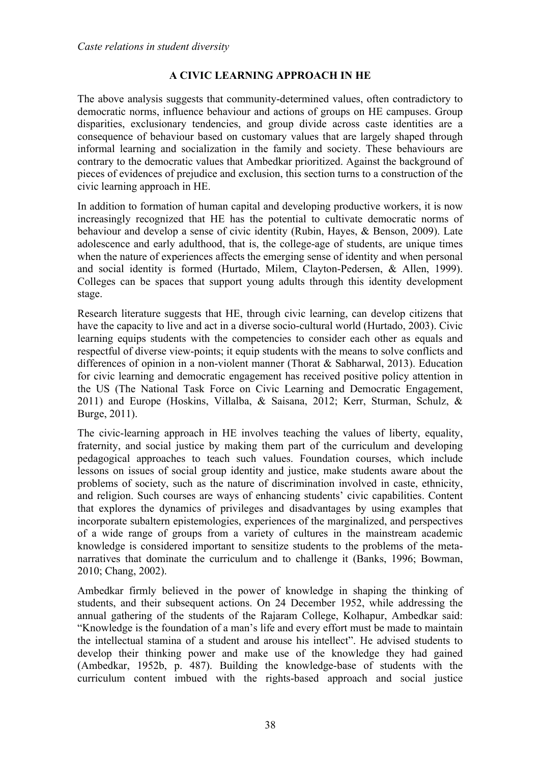# **A CIVIC LEARNING APPROACH IN HE**

The above analysis suggests that community-determined values, often contradictory to democratic norms, influence behaviour and actions of groups on HE campuses. Group disparities, exclusionary tendencies, and group divide across caste identities are a consequence of behaviour based on customary values that are largely shaped through informal learning and socialization in the family and society. These behaviours are contrary to the democratic values that Ambedkar prioritized. Against the background of pieces of evidences of prejudice and exclusion, this section turns to a construction of the civic learning approach in HE.

In addition to formation of human capital and developing productive workers, it is now increasingly recognized that HE has the potential to cultivate democratic norms of behaviour and develop a sense of civic identity (Rubin, Hayes, & Benson, 2009). Late adolescence and early adulthood, that is, the college-age of students, are unique times when the nature of experiences affects the emerging sense of identity and when personal and social identity is formed (Hurtado, Milem, Clayton-Pedersen, & Allen, 1999). Colleges can be spaces that support young adults through this identity development stage.

Research literature suggests that HE, through civic learning, can develop citizens that have the capacity to live and act in a diverse socio-cultural world (Hurtado, 2003). Civic learning equips students with the competencies to consider each other as equals and respectful of diverse view-points; it equip students with the means to solve conflicts and differences of opinion in a non-violent manner (Thorat & Sabharwal, 2013). Education for civic learning and democratic engagement has received positive policy attention in the US (The National Task Force on Civic Learning and Democratic Engagement, 2011) and Europe (Hoskins, Villalba, & Saisana, 2012; Kerr, Sturman, Schulz, & Burge, 2011).

The civic-learning approach in HE involves teaching the values of liberty, equality, fraternity, and social justice by making them part of the curriculum and developing pedagogical approaches to teach such values. Foundation courses, which include lessons on issues of social group identity and justice, make students aware about the problems of society, such as the nature of discrimination involved in caste, ethnicity, and religion. Such courses are ways of enhancing students' civic capabilities. Content that explores the dynamics of privileges and disadvantages by using examples that incorporate subaltern epistemologies, experiences of the marginalized, and perspectives of a wide range of groups from a variety of cultures in the mainstream academic knowledge is considered important to sensitize students to the problems of the metanarratives that dominate the curriculum and to challenge it (Banks, 1996; Bowman, 2010; Chang, 2002).

Ambedkar firmly believed in the power of knowledge in shaping the thinking of students, and their subsequent actions. On 24 December 1952, while addressing the annual gathering of the students of the Rajaram College, Kolhapur, Ambedkar said: "Knowledge is the foundation of a man's life and every effort must be made to maintain the intellectual stamina of a student and arouse his intellect". He advised students to develop their thinking power and make use of the knowledge they had gained (Ambedkar, 1952b, p. 487). Building the knowledge-base of students with the curriculum content imbued with the rights-based approach and social justice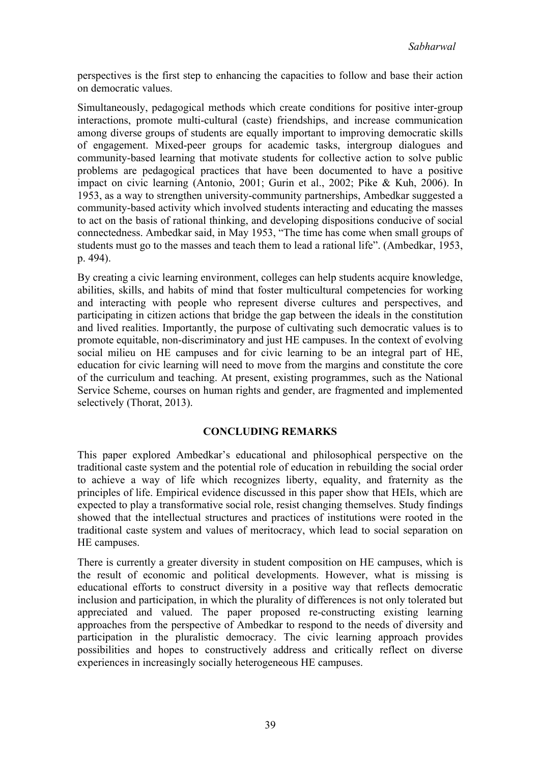perspectives is the first step to enhancing the capacities to follow and base their action on democratic values.

Simultaneously, pedagogical methods which create conditions for positive inter-group interactions, promote multi-cultural (caste) friendships, and increase communication among diverse groups of students are equally important to improving democratic skills of engagement. Mixed-peer groups for academic tasks, intergroup dialogues and community-based learning that motivate students for collective action to solve public problems are pedagogical practices that have been documented to have a positive impact on civic learning (Antonio, 2001; Gurin et al., 2002; Pike & Kuh, 2006). In 1953, as a way to strengthen university-community partnerships, Ambedkar suggested a community-based activity which involved students interacting and educating the masses to act on the basis of rational thinking, and developing dispositions conducive of social connectedness. Ambedkar said, in May 1953, "The time has come when small groups of students must go to the masses and teach them to lead a rational life". (Ambedkar, 1953, p. 494).

By creating a civic learning environment, colleges can help students acquire knowledge, abilities, skills, and habits of mind that foster multicultural competencies for working and interacting with people who represent diverse cultures and perspectives, and participating in citizen actions that bridge the gap between the ideals in the constitution and lived realities. Importantly, the purpose of cultivating such democratic values is to promote equitable, non-discriminatory and just HE campuses. In the context of evolving social milieu on HE campuses and for civic learning to be an integral part of HE, education for civic learning will need to move from the margins and constitute the core of the curriculum and teaching. At present, existing programmes, such as the National Service Scheme, courses on human rights and gender, are fragmented and implemented selectively (Thorat, 2013).

# **CONCLUDING REMARKS**

This paper explored Ambedkar's educational and philosophical perspective on the traditional caste system and the potential role of education in rebuilding the social order to achieve a way of life which recognizes liberty, equality, and fraternity as the principles of life. Empirical evidence discussed in this paper show that HEIs, which are expected to play a transformative social role, resist changing themselves. Study findings showed that the intellectual structures and practices of institutions were rooted in the traditional caste system and values of meritocracy, which lead to social separation on HE campuses.

There is currently a greater diversity in student composition on HE campuses, which is the result of economic and political developments. However, what is missing is educational efforts to construct diversity in a positive way that reflects democratic inclusion and participation, in which the plurality of differences is not only tolerated but appreciated and valued. The paper proposed re-constructing existing learning approaches from the perspective of Ambedkar to respond to the needs of diversity and participation in the pluralistic democracy. The civic learning approach provides possibilities and hopes to constructively address and critically reflect on diverse experiences in increasingly socially heterogeneous HE campuses.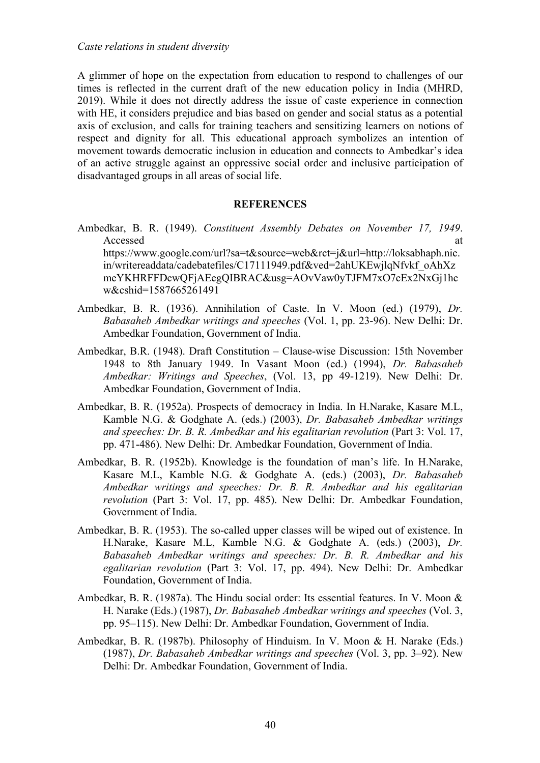A glimmer of hope on the expectation from education to respond to challenges of our times is reflected in the current draft of the new education policy in India (MHRD, 2019). While it does not directly address the issue of caste experience in connection with HE, it considers prejudice and bias based on gender and social status as a potential axis of exclusion, and calls for training teachers and sensitizing learners on notions of respect and dignity for all. This educational approach symbolizes an intention of movement towards democratic inclusion in education and connects to Ambedkar's idea of an active struggle against an oppressive social order and inclusive participation of disadvantaged groups in all areas of social life.

#### **REFERENCES**

- Ambedkar, B. R. (1949). *Constituent Assembly Debates on November 17, 1949*. Accessed at a set of  $\alpha$  at a set of  $\alpha$  at a set of  $\alpha$  at a set of  $\alpha$  at a set of  $\alpha$  at a set of  $\alpha$  at a set of  $\alpha$  at a set of  $\alpha$  at a set of  $\alpha$  at a set of  $\alpha$  at a set of  $\alpha$  at a set of  $\alpha$  at a set https://www.google.com/url?sa=t&source=web&rct=j&url=http://loksabhaph.nic. in/writereaddata/cadebatefiles/C17111949.pdf&ved=2ahUKEwjlqNfvkf\_oAhXz meYKHRFFDcwQFjAEegQIBRAC&usg=AOvVaw0yTJFM7xO7cEx2NxGj1hc w&cshid=1587665261491
- Ambedkar, B. R. (1936). Annihilation of Caste. In V. Moon (ed.) (1979), *Dr. Babasaheb Ambedkar writings and speeches* (Vol. 1, pp. 23-96). New Delhi: Dr. Ambedkar Foundation, Government of India.
- Ambedkar, B.R. (1948). Draft Constitution Clause-wise Discussion: 15th November 1948 to 8th January 1949. In Vasant Moon (ed.) (1994), *Dr. Babasaheb Ambedkar: Writings and Speeches*, (Vol. 13, pp 49-1219). New Delhi: Dr. Ambedkar Foundation, Government of India.
- Ambedkar, B. R. (1952a). Prospects of democracy in India. In H.Narake, Kasare M.L, Kamble N.G. & Godghate A. (eds.) (2003), *Dr. Babasaheb Ambedkar writings and speeches: Dr. B. R. Ambedkar and his egalitarian revolution* (Part 3: Vol. 17, pp. 471-486). New Delhi: Dr. Ambedkar Foundation, Government of India.
- Ambedkar, B. R. (1952b). Knowledge is the foundation of man's life. In H.Narake, Kasare M.L, Kamble N.G. & Godghate A. (eds.) (2003), *Dr. Babasaheb Ambedkar writings and speeches: Dr. B. R. Ambedkar and his egalitarian revolution* (Part 3: Vol. 17, pp. 485). New Delhi: Dr. Ambedkar Foundation, Government of India.
- Ambedkar, B. R. (1953). The so-called upper classes will be wiped out of existence. In H.Narake, Kasare M.L, Kamble N.G. & Godghate A. (eds.) (2003), *Dr. Babasaheb Ambedkar writings and speeches: Dr. B. R. Ambedkar and his egalitarian revolution* (Part 3: Vol. 17, pp. 494). New Delhi: Dr. Ambedkar Foundation, Government of India.
- Ambedkar, B. R. (1987a). The Hindu social order: Its essential features. In V. Moon & H. Narake (Eds.) (1987), *Dr. Babasaheb Ambedkar writings and speeches* (Vol. 3, pp. 95–115). New Delhi: Dr. Ambedkar Foundation, Government of India.
- Ambedkar, B. R. (1987b). Philosophy of Hinduism. In V. Moon & H. Narake (Eds.) (1987), *Dr. Babasaheb Ambedkar writings and speeches* (Vol. 3, pp. 3–92). New Delhi: Dr. Ambedkar Foundation, Government of India.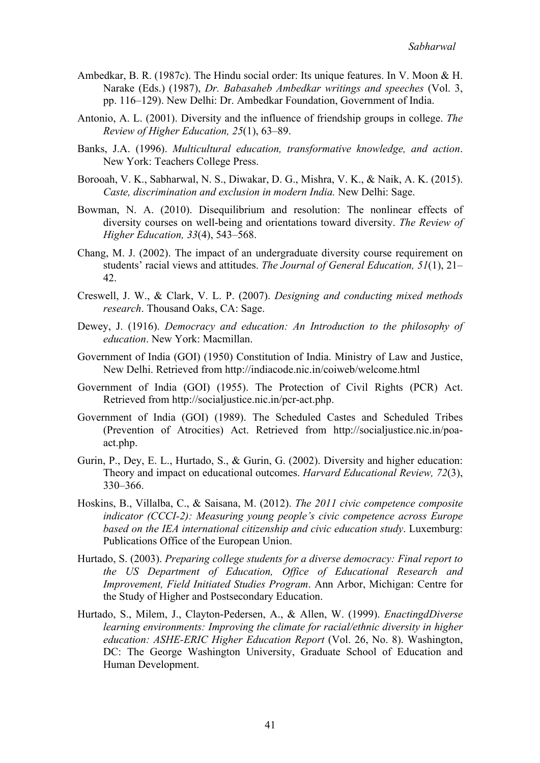- Ambedkar, B. R. (1987c). The Hindu social order: Its unique features. In V. Moon & H. Narake (Eds.) (1987), *Dr. Babasaheb Ambedkar writings and speeches* (Vol. 3, pp. 116–129). New Delhi: Dr. Ambedkar Foundation, Government of India.
- Antonio, A. L. (2001). Diversity and the influence of friendship groups in college. *The Review of Higher Education, 25*(1), 63–89.
- Banks, J.A. (1996). *Multicultural education, transformative knowledge, and action*. New York: Teachers College Press.
- Borooah, V. K., Sabharwal, N. S., Diwakar, D. G., Mishra, V. K., & Naik, A. K. (2015). *Caste, discrimination and exclusion in modern India.* New Delhi: Sage.
- Bowman, N. A. (2010). Disequilibrium and resolution: The nonlinear effects of diversity courses on well-being and orientations toward diversity. *The Review of Higher Education, 33*(4), 543–568.
- Chang, M. J. (2002). The impact of an undergraduate diversity course requirement on students' racial views and attitudes. *The Journal of General Education, 51*(1), 21– 42.
- Creswell, J. W., & Clark, V. L. P. (2007). *Designing and conducting mixed methods research*. Thousand Oaks, CA: Sage.
- Dewey, J. (1916). *Democracy and education: An Introduction to the philosophy of education*. New York: Macmillan.
- Government of India (GOI) (1950) Constitution of India. Ministry of Law and Justice, New Delhi. Retrieved from http://indiacode.nic.in/coiweb/welcome.html
- Government of India (GOI) (1955). The Protection of Civil Rights (PCR) Act. Retrieved from http://socialjustice.nic.in/pcr-act.php.
- Government of India (GOI) (1989). The Scheduled Castes and Scheduled Tribes (Prevention of Atrocities) Act. Retrieved from http://socialjustice.nic.in/poaact.php.
- Gurin, P., Dey, E. L., Hurtado, S., & Gurin, G. (2002). Diversity and higher education: Theory and impact on educational outcomes. *Harvard Educational Review, 72*(3), 330–366.
- Hoskins, B., Villalba, C., & Saisana, M. (2012). *The 2011 civic competence composite indicator (CCCI-2): Measuring young people's civic competence across Europe based on the IEA international citizenship and civic education study*. Luxemburg: Publications Office of the European Union.
- Hurtado, S. (2003). *Preparing college students for a diverse democracy: Final report to the US Department of Education, Office of Educational Research and Improvement, Field Initiated Studies Program*. Ann Arbor, Michigan: Centre for the Study of Higher and Postsecondary Education.
- Hurtado, S., Milem, J., Clayton-Pedersen, A., & Allen, W. (1999). *EnactingdDiverse learning environments: Improving the climate for racial/ethnic diversity in higher education: ASHE-ERIC Higher Education Report* (Vol. 26, No. 8). Washington, DC: The George Washington University, Graduate School of Education and Human Development.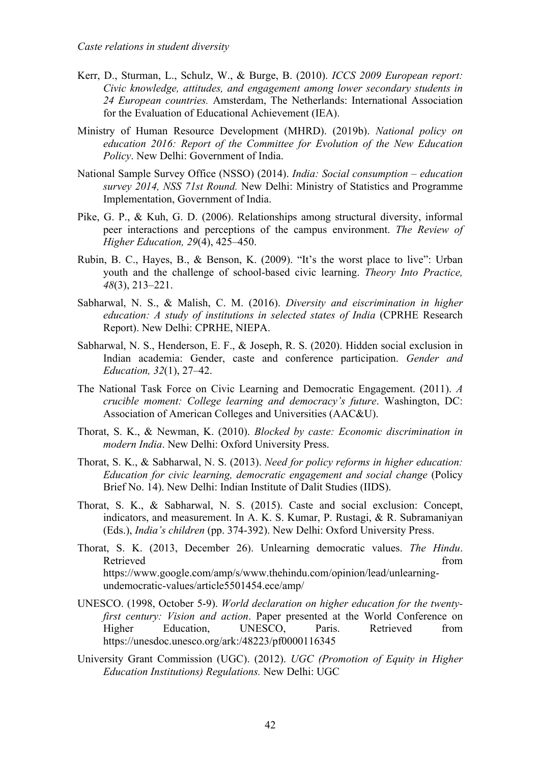- Kerr, D., Sturman, L., Schulz, W., & Burge, B. (2010). *ICCS 2009 European report: Civic knowledge, attitudes, and engagement among lower secondary students in 24 European countries.* Amsterdam, The Netherlands: International Association for the Evaluation of Educational Achievement (IEA).
- Ministry of Human Resource Development (MHRD). (2019b). *National policy on education 2016: Report of the Committee for Evolution of the New Education Policy*. New Delhi: Government of India.
- National Sample Survey Office (NSSO) (2014). *India: Social consumption – education survey 2014, NSS 71st Round.* New Delhi: Ministry of Statistics and Programme Implementation, Government of India.
- Pike, G. P., & Kuh, G. D. (2006). Relationships among structural diversity, informal peer interactions and perceptions of the campus environment. *The Review of Higher Education, 29*(4), 425–450.
- Rubin, B. C., Hayes, B., & Benson, K. (2009). "It's the worst place to live": Urban youth and the challenge of school-based civic learning. *Theory Into Practice, 48*(3), 213–221.
- Sabharwal, N. S., & Malish, C. M. (2016). *Diversity and eiscrimination in higher education: A study of institutions in selected states of India* (CPRHE Research Report). New Delhi: CPRHE, NIEPA.
- Sabharwal, N. S., Henderson, E. F., & Joseph, R. S. (2020). Hidden social exclusion in Indian academia: Gender, caste and conference participation. *Gender and Education, 32*(1), 27–42.
- The National Task Force on Civic Learning and Democratic Engagement. (2011). *A crucible moment: College learning and democracy's future*. Washington, DC: Association of American Colleges and Universities (AAC&U).
- Thorat, S. K., & Newman, K. (2010). *Blocked by caste: Economic discrimination in modern India*. New Delhi: Oxford University Press.
- Thorat, S. K., & Sabharwal, N. S. (2013). *Need for policy reforms in higher education: Education for civic learning, democratic engagement and social change* (Policy Brief No. 14). New Delhi: Indian Institute of Dalit Studies (IIDS).
- Thorat, S. K., & Sabharwal, N. S. (2015). Caste and social exclusion: Concept, indicators, and measurement. In A. K. S. Kumar, P. Rustagi, & R. Subramaniyan (Eds.), *India's children* (pp. 374-392). New Delhi: Oxford University Press.
- Thorat, S. K. (2013, December 26). Unlearning democratic values. *The Hindu*. Retrieved from the state of the state of the state of the state of the state of the state of the state of the state of the state of the state of the state of the state of the state of the state of the state of the state of https://www.google.com/amp/s/www.thehindu.com/opinion/lead/unlearningundemocratic-values/article5501454.ece/amp/
- UNESCO. (1998, October 5-9). *World declaration on higher education for the twentyfirst century: Vision and action*. Paper presented at the World Conference on Higher Education, UNESCO, Paris. Retrieved from https://unesdoc.unesco.org/ark:/48223/pf0000116345
- University Grant Commission (UGC). (2012). *UGC (Promotion of Equity in Higher Education Institutions) Regulations.* New Delhi: UGC